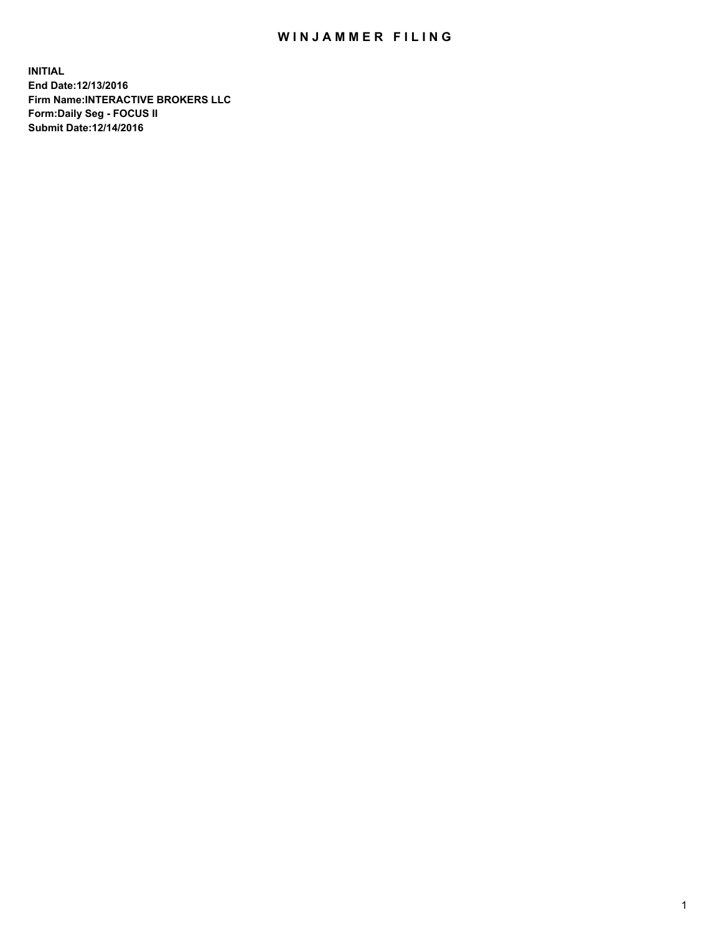## WIN JAMMER FILING

**INITIAL End Date:12/13/2016 Firm Name:INTERACTIVE BROKERS LLC Form:Daily Seg - FOCUS II Submit Date:12/14/2016**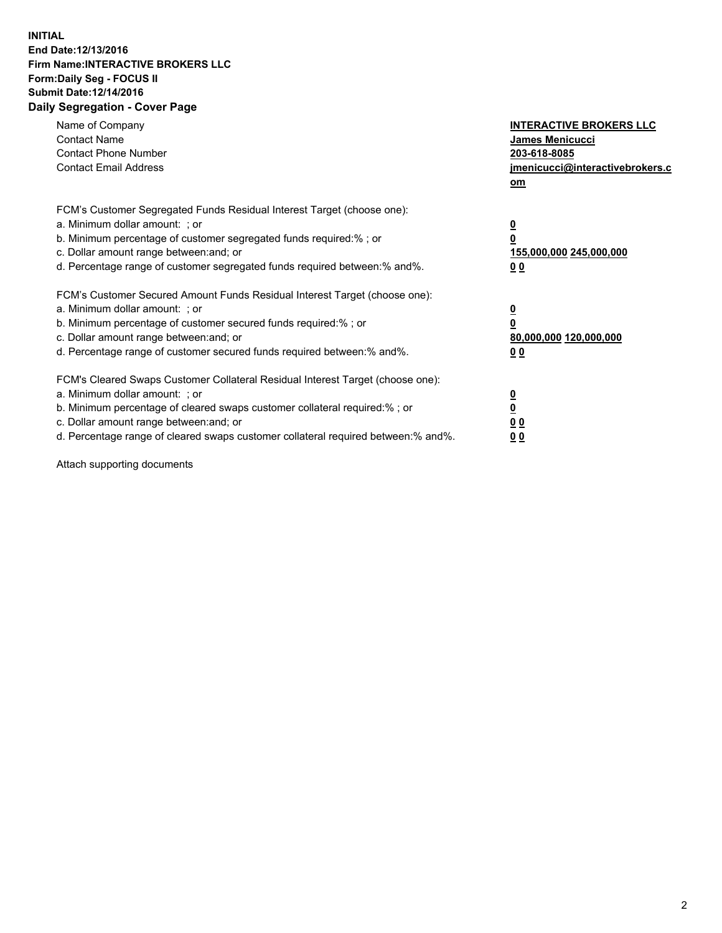## **INITIAL End Date:12/13/2016 Firm Name:INTERACTIVE BROKERS LLC Form:Daily Seg - FOCUS II Submit Date:12/14/2016 Daily Segregation - Cover Page**

| Name of Company<br><b>Contact Name</b><br><b>Contact Phone Number</b><br><b>Contact Email Address</b>                                                                                                                                                                                                                         | <b>INTERACTIVE BROKERS LLC</b><br><b>James Menicucci</b><br>203-618-8085<br><u>jmenicucci@interactivebrokers.c</u><br>om |
|-------------------------------------------------------------------------------------------------------------------------------------------------------------------------------------------------------------------------------------------------------------------------------------------------------------------------------|--------------------------------------------------------------------------------------------------------------------------|
| FCM's Customer Segregated Funds Residual Interest Target (choose one):<br>a. Minimum dollar amount: ; or<br>b. Minimum percentage of customer segregated funds required:%; or<br>c. Dollar amount range between: and; or<br>d. Percentage range of customer segregated funds required between:% and%.                         | $\overline{\mathbf{0}}$<br>0<br><u>155,000,000 245,000,000</u><br>0 <sub>0</sub>                                         |
| FCM's Customer Secured Amount Funds Residual Interest Target (choose one):<br>a. Minimum dollar amount: ; or<br>b. Minimum percentage of customer secured funds required:%; or<br>c. Dollar amount range between: and; or<br>d. Percentage range of customer secured funds required between: % and %.                         | $\overline{\mathbf{0}}$<br>0<br>80,000,000 120,000,000<br>0 <sub>0</sub>                                                 |
| FCM's Cleared Swaps Customer Collateral Residual Interest Target (choose one):<br>a. Minimum dollar amount: ; or<br>b. Minimum percentage of cleared swaps customer collateral required:%; or<br>c. Dollar amount range between: and; or<br>d. Percentage range of cleared swaps customer collateral required between:% and%. | $\overline{\mathbf{0}}$<br>$\overline{\mathbf{0}}$<br>0 <sub>0</sub><br>00                                               |

Attach supporting documents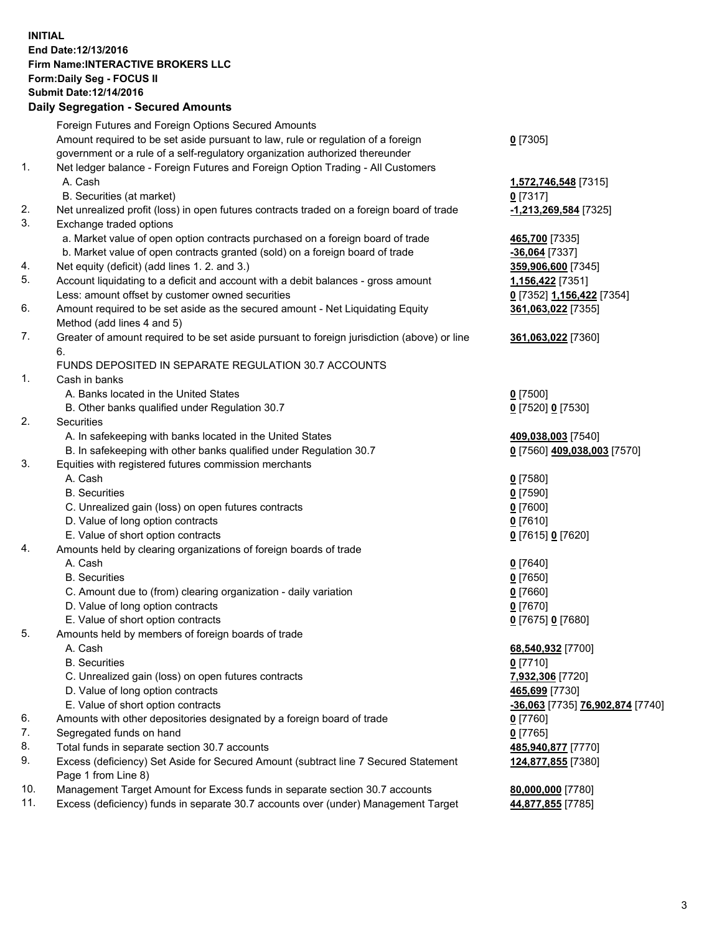## **INITIAL End Date:12/13/2016 Firm Name:INTERACTIVE BROKERS LLC Form:Daily Seg - FOCUS II Submit Date:12/14/2016 Daily Segregation - Secured Amounts**

|     | Daily Jegiegation - Jeculeu Alliounts                                                                        |                                  |
|-----|--------------------------------------------------------------------------------------------------------------|----------------------------------|
|     | Foreign Futures and Foreign Options Secured Amounts                                                          |                                  |
|     | Amount required to be set aside pursuant to law, rule or regulation of a foreign                             | $0$ [7305]                       |
|     | government or a rule of a self-regulatory organization authorized thereunder                                 |                                  |
| 1.  | Net ledger balance - Foreign Futures and Foreign Option Trading - All Customers                              |                                  |
|     | A. Cash                                                                                                      | 1,572,746,548 [7315]             |
|     | B. Securities (at market)                                                                                    | $0$ [7317]                       |
| 2.  | Net unrealized profit (loss) in open futures contracts traded on a foreign board of trade                    | -1,213,269,584 [7325]            |
| 3.  | Exchange traded options                                                                                      |                                  |
|     | a. Market value of open option contracts purchased on a foreign board of trade                               | 465,700 [7335]                   |
|     | b. Market value of open contracts granted (sold) on a foreign board of trade                                 | $-36,064$ [7337]                 |
| 4.  | Net equity (deficit) (add lines 1. 2. and 3.)                                                                | 359,906,600 [7345]               |
| 5.  | Account liquidating to a deficit and account with a debit balances - gross amount                            | 1,156,422 [7351]                 |
|     |                                                                                                              |                                  |
| 6.  | Less: amount offset by customer owned securities                                                             | 0 [7352] 1,156,422 [7354]        |
|     | Amount required to be set aside as the secured amount - Net Liquidating Equity<br>Method (add lines 4 and 5) | 361,063,022 [7355]               |
| 7.  |                                                                                                              |                                  |
|     | Greater of amount required to be set aside pursuant to foreign jurisdiction (above) or line<br>6.            | 361,063,022 [7360]               |
|     | FUNDS DEPOSITED IN SEPARATE REGULATION 30.7 ACCOUNTS                                                         |                                  |
| 1.  | Cash in banks                                                                                                |                                  |
|     | A. Banks located in the United States                                                                        |                                  |
|     |                                                                                                              | $0$ [7500]                       |
| 2.  | B. Other banks qualified under Regulation 30.7<br>Securities                                                 | 0 [7520] 0 [7530]                |
|     | A. In safekeeping with banks located in the United States                                                    |                                  |
|     |                                                                                                              | 409,038,003 [7540]               |
| 3.  | B. In safekeeping with other banks qualified under Regulation 30.7                                           | 0 [7560] 409,038,003 [7570]      |
|     | Equities with registered futures commission merchants                                                        |                                  |
|     | A. Cash                                                                                                      | $0$ [7580]                       |
|     | <b>B.</b> Securities                                                                                         | $0$ [7590]                       |
|     | C. Unrealized gain (loss) on open futures contracts                                                          | $0$ [7600]                       |
|     | D. Value of long option contracts                                                                            | $0$ [7610]                       |
|     | E. Value of short option contracts                                                                           | 0 [7615] 0 [7620]                |
| 4.  | Amounts held by clearing organizations of foreign boards of trade                                            |                                  |
|     | A. Cash                                                                                                      | $0$ [7640]                       |
|     | <b>B.</b> Securities                                                                                         | $0$ [7650]                       |
|     | C. Amount due to (from) clearing organization - daily variation                                              | $0$ [7660]                       |
|     | D. Value of long option contracts                                                                            | $0$ [7670]                       |
|     | E. Value of short option contracts                                                                           | 0 [7675] 0 [7680]                |
| 5.  | Amounts held by members of foreign boards of trade                                                           |                                  |
|     | A. Cash                                                                                                      | 68,540,932 [7700]                |
|     | <b>B.</b> Securities                                                                                         | $0$ [7710]                       |
|     | C. Unrealized gain (loss) on open futures contracts                                                          | 7,932,306 [7720]                 |
|     | D. Value of long option contracts                                                                            | 465,699 [7730]                   |
|     | E. Value of short option contracts                                                                           | -36,063 [7735] 76,902,874 [7740] |
| 6.  | Amounts with other depositories designated by a foreign board of trade                                       | 0 [7760]                         |
| 7.  | Segregated funds on hand                                                                                     | $0$ [7765]                       |
| 8.  | Total funds in separate section 30.7 accounts                                                                | 485,940,877 [7770]               |
| 9.  | Excess (deficiency) Set Aside for Secured Amount (subtract line 7 Secured Statement                          | 124,877,855 [7380]               |
|     | Page 1 from Line 8)                                                                                          |                                  |
| 10. | Management Target Amount for Excess funds in separate section 30.7 accounts                                  | 80,000,000 [7780]                |
| 11. | Excess (deficiency) funds in separate 30.7 accounts over (under) Management Target                           | 44,877,855 [7785]                |
|     |                                                                                                              |                                  |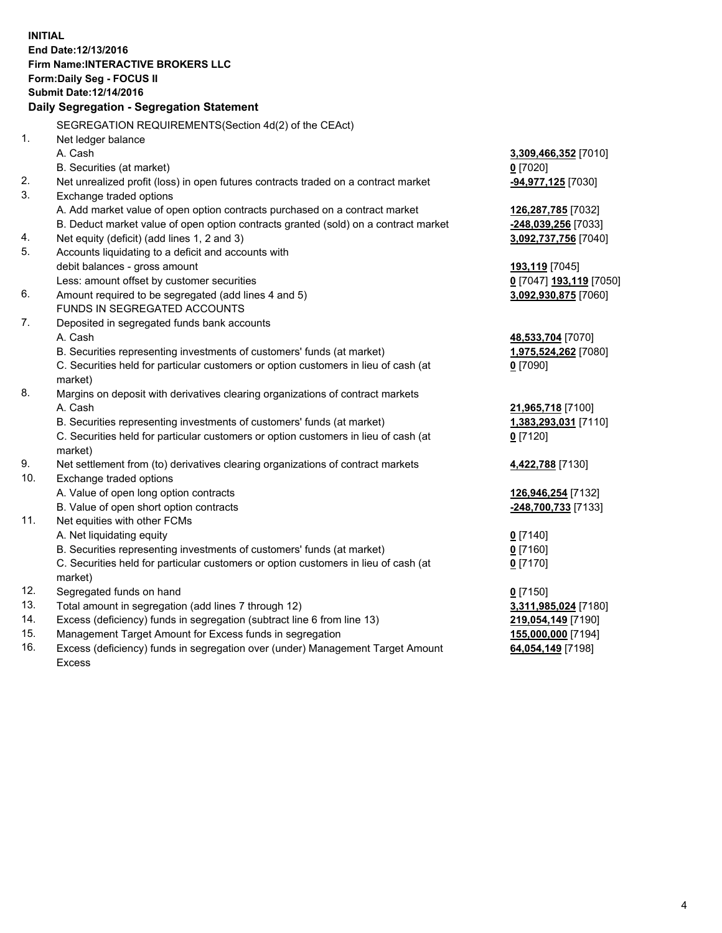**INITIAL End Date:12/13/2016 Firm Name:INTERACTIVE BROKERS LLC Form:Daily Seg - FOCUS II Submit Date:12/14/2016 Daily Segregation - Segregation Statement** SEGREGATION REQUIREMENTS(Section 4d(2) of the CEAct) 1. Net ledger balance A. Cash **3,309,466,352** [7010] B. Securities (at market) **0** [7020] 2. Net unrealized profit (loss) in open futures contracts traded on a contract market **-94,977,125** [7030] 3. Exchange traded options A. Add market value of open option contracts purchased on a contract market **126,287,785** [7032] B. Deduct market value of open option contracts granted (sold) on a contract market **-248,039,256** [7033] 4. Net equity (deficit) (add lines 1, 2 and 3) **3,092,737,756** [7040] 5. Accounts liquidating to a deficit and accounts with debit balances - gross amount **193,119** [7045] Less: amount offset by customer securities **0** [7047] **193,119** [7050] 6. Amount required to be segregated (add lines 4 and 5) **3,092,930,875** [7060] FUNDS IN SEGREGATED ACCOUNTS 7. Deposited in segregated funds bank accounts A. Cash **48,533,704** [7070] B. Securities representing investments of customers' funds (at market) **1,975,524,262** [7080] C. Securities held for particular customers or option customers in lieu of cash (at market) **0** [7090] 8. Margins on deposit with derivatives clearing organizations of contract markets A. Cash **21,965,718** [7100] B. Securities representing investments of customers' funds (at market) **1,383,293,031** [7110] C. Securities held for particular customers or option customers in lieu of cash (at market) **0** [7120] 9. Net settlement from (to) derivatives clearing organizations of contract markets **4,422,788** [7130] 10. Exchange traded options A. Value of open long option contracts **126,946,254** [7132] B. Value of open short option contracts **-248,700,733** [7133] 11. Net equities with other FCMs A. Net liquidating equity **0** [7140] B. Securities representing investments of customers' funds (at market) **0** [7160] C. Securities held for particular customers or option customers in lieu of cash (at market) **0** [7170] 12. Segregated funds on hand **0** [7150] 13. Total amount in segregation (add lines 7 through 12) **3,311,985,024** [7180] 14. Excess (deficiency) funds in segregation (subtract line 6 from line 13) **219,054,149** [7190] 15. Management Target Amount for Excess funds in segregation **155,000,000** [7194] **64,054,149** [7198]

16. Excess (deficiency) funds in segregation over (under) Management Target Amount Excess